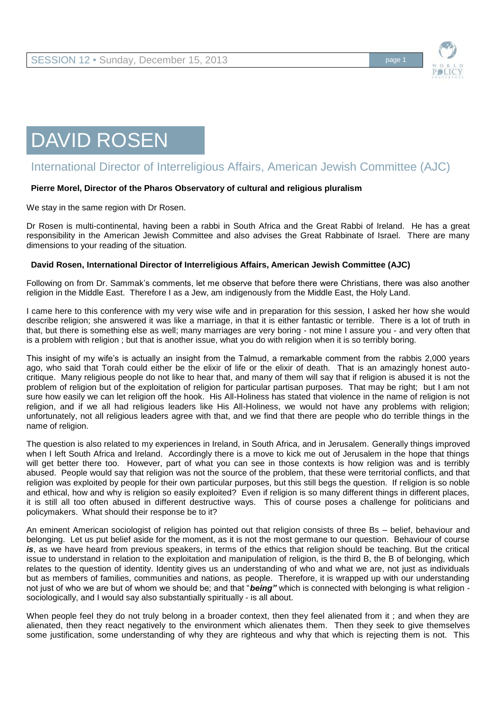

# DAVID ROSEN

## International Director of Interreligious Affairs, American Jewish Committee (AJC)

#### **Pierre Morel, Director of the Pharos Observatory of cultural and religious pluralism**

We stay in the same region with Dr Rosen.

Dr Rosen is multi-continental, having been a rabbi in South Africa and the Great Rabbi of Ireland. He has a great responsibility in the American Jewish Committee and also advises the Great Rabbinate of Israel. There are many dimensions to your reading of the situation.

#### **David Rosen, International Director of Interreligious Affairs, American Jewish Committee (AJC)**

Following on from Dr. Sammak's comments, let me observe that before there were Christians, there was also another religion in the Middle East. Therefore I as a Jew, am indigenously from the Middle East, the Holy Land.

I came here to this conference with my very wise wife and in preparation for this session, I asked her how she would describe religion; she answered it was like a marriage, in that it is either fantastic or terrible. There is a lot of truth in that, but there is something else as well; many marriages are very boring - not mine I assure you - and very often that is a problem with religion ; but that is another issue, what you do with religion when it is so terribly boring.

This insight of my wife's is actually an insight from the Talmud, a remarkable comment from the rabbis 2,000 years ago, who said that Torah could either be the elixir of life or the elixir of death. That is an amazingly honest autocritique. Many religious people do not like to hear that, and many of them will say that if religion is abused it is not the problem of religion but of the exploitation of religion for particular partisan purposes. That may be right; but I am not sure how easily we can let religion off the hook. His All-Holiness has stated that violence in the name of religion is not religion, and if we all had religious leaders like His All-Holiness, we would not have any problems with religion; unfortunately, not all religious leaders agree with that, and we find that there are people who do terrible things in the name of religion.

The question is also related to my experiences in Ireland, in South Africa, and in Jerusalem. Generally things improved when I left South Africa and Ireland. Accordingly there is a move to kick me out of Jerusalem in the hope that things will get better there too. However, part of what you can see in those contexts is how religion was and is terribly abused. People would say that religion was not the source of the problem, that these were territorial conflicts, and that religion was exploited by people for their own particular purposes, but this still begs the question. If religion is so noble and ethical, how and why is religion so easily exploited? Even if religion is so many different things in different places, it is still all too often abused in different destructive ways. This of course poses a challenge for politicians and policymakers. What should their response be to it?

An eminent American sociologist of religion has pointed out that religion consists of three Bs – belief, behaviour and belonging. Let us put belief aside for the moment, as it is not the most germane to our question. Behaviour of course *is*, as we have heard from previous speakers, in terms of the ethics that religion should be teaching. But the critical issue to understand in relation to the exploitation and manipulation of religion, is the third B, the B of belonging, which relates to the question of identity. Identity gives us an understanding of who and what we are, not just as individuals but as members of families, communities and nations, as people. Therefore, it is wrapped up with our understanding not just of who we are but of whom we should be; and that "*being"* which is connected with belonging is what religion sociologically, and I would say also substantially spiritually - is all about.

When people feel they do not truly belong in a broader context, then they feel alienated from it; and when they are alienated, then they react negatively to the environment which alienates them. Then they seek to give themselves some justification, some understanding of why they are righteous and why that which is rejecting them is not. This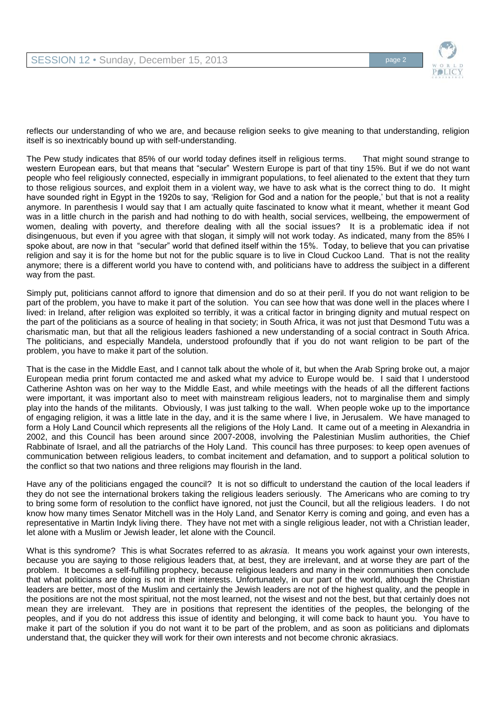

reflects our understanding of who we are, and because religion seeks to give meaning to that understanding, religion itself is so inextricably bound up with self-understanding.

The Pew study indicates that 85% of our world today defines itself in religious terms. That might sound strange to western European ears, but that means that "secular" Western Europe is part of that tiny 15%. But if we do not want people who feel religiously connected, especially in immigrant populations, to feel alienated to the extent that they turn to those religious sources, and exploit them in a violent way, we have to ask what is the correct thing to do. It might have sounded right in Egypt in the 1920s to say, 'Religion for God and a nation for the people,' but that is not a reality anymore. In parenthesis I would say that I am actually quite fascinated to know what it meant, whether it meant God was in a little church in the parish and had nothing to do with health, social services, wellbeing, the empowerment of women, dealing with poverty, and therefore dealing with all the social issues? It is a problematic idea if not disingenuous, but even if you agree with that slogan, it simply will not work today. As indicated, many from the 85% I spoke about, are now in that "secular" world that defined itself within the 15%. Today, to believe that you can privatise religion and say it is for the home but not for the public square is to live in Cloud Cuckoo Land. That is not the reality anymore; there is a different world you have to contend with, and politicians have to address the suibject in a different way from the past.

Simply put, politicians cannot afford to ignore that dimension and do so at their peril. If you do not want religion to be part of the problem, you have to make it part of the solution. You can see how that was done well in the places where I lived: in Ireland, after religion was exploited so terribly, it was a critical factor in bringing dignity and mutual respect on the part of the politicians as a source of healing in that society; in South Africa, it was not just that Desmond Tutu was a charismatic man, but that all the religious leaders fashioned a new understanding of a social contract in South Africa. The politicians, and especially Mandela, understood profoundly that if you do not want religion to be part of the problem, you have to make it part of the solution.

That is the case in the Middle East, and I cannot talk about the whole of it, but when the Arab Spring broke out, a major European media print forum contacted me and asked what my advice to Europe would be. I said that I understood Catherine Ashton was on her way to the Middle East, and while meetings with the heads of all the different factions were important, it was important also to meet with mainstream religious leaders, not to marginalise them and simply play into the hands of the militants. Obviously, I was just talking to the wall. When people woke up to the importance of engaging religion, it was a little late in the day, and it is the same where I live, in Jerusalem. We have managed to form a Holy Land Council which represents all the religions of the Holy Land. It came out of a meeting in Alexandria in 2002, and this Council has been around since 2007-2008, involving the Palestinian Muslim authorities, the Chief Rabbinate of Israel, and all the patriarchs of the Holy Land. This council has three purposes: to keep open avenues of communication between religious leaders, to combat incitement and defamation, and to support a political solution to the conflict so that two nations and three religions may flourish in the land.

Have any of the politicians engaged the council? It is not so difficult to understand the caution of the local leaders if they do not see the international brokers taking the religious leaders seriously. The Americans who are coming to try to bring some form of resolution to the conflict have ignored, not just the Council, but all the religious leaders. I do not know how many times Senator Mitchell was in the Holy Land, and Senator Kerry is coming and going, and even has a representative in Martin Indyk living there. They have not met with a single religious leader, not with a Christian leader, let alone with a Muslim or Jewish leader, let alone with the Council.

What is this syndrome? This is what Socrates referred to as *akrasia*. It means you work against your own interests, because you are saying to those religious leaders that, at best, they are irrelevant, and at worse they are part of the problem. It becomes a self-fulfilling prophecy, because religious leaders and many in their communities then conclude that what politicians are doing is not in their interests. Unfortunately, in our part of the world, although the Christian leaders are better, most of the Muslim and certainly the Jewish leaders are not of the highest quality, and the people in the positions are not the most spiritual, not the most learned, not the wisest and not the best, but that certainly does not mean they are irrelevant. They are in positions that represent the identities of the peoples, the belonging of the peoples, and if you do not address this issue of identity and belonging, it will come back to haunt you. You have to make it part of the solution if you do not want it to be part of the problem, and as soon as politicians and diplomats understand that, the quicker they will work for their own interests and not become chronic akrasiacs.